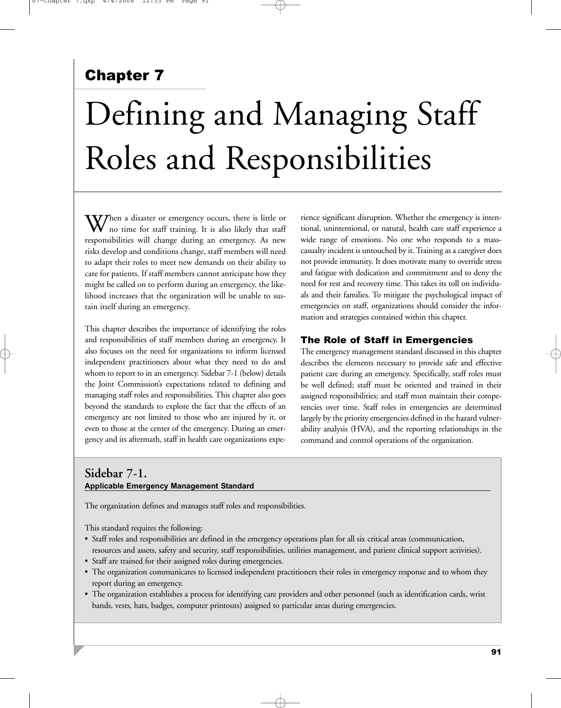# Chapter 7

# Defining and Managing Staff Roles and Responsibilities

 $\mathbf{W}$  hen a disaster or emergency occurs, there is little or no time for staff training. It is also likely that staff responsibilities will change during an emergency. As new risks develop and conditions change, staff members will need to adapt their roles to meet new demands on their ability to care for patients. If staff members cannot anticipate how they might be called on to perform during an emergency, the likelihood increases that the organization will be unable to sustain itself during an emergency.

This chapter describes the importance of identifying the roles and responsibilities of staff members during an emergency. It also focuses on the need for organizations to inform licensed independent practitioners about what they need to do and whom to report to in an emergency. Sidebar 7-1 (below) details the Joint Commission's expectations related to defining and managing staff roles and responsibilities. This chapter also goes beyond the standards to explore the fact that the effects of an emergency are not limited to those who are injured by it, or even to those at the center of the emergency. During an emergency and its aftermath, staff in health care organizations experience significant disruption. Whether the emergency is intentional, unintentional, or natural, health care staff experience a wide range of emotions. No one who responds to a masscasualty incident is untouched by it. Training as a caregiver does not provide immunity. It does motivate many to override stress and fatigue with dedication and commitment and to deny the need for rest and recovery time. This takes its toll on individuals and their families. To mitigate the psychological impact of emergencies on staff, organizations should consider the information and strategies contained within this chapter.

## The Role of Staff in Emergencies

The emergency management standard discussed in this chapter describes the elements necessary to provide safe and effective patient care during an emergency. Specifically, staff roles must be well defined; staff must be oriented and trained in their assigned responsibilities; and staff must maintain their competencies over time. Staff roles in emergencies are determined largely by the priority emergencies defined in the hazard vulnerability analysis (HVA), and the reporting relationships in the command and control operations of the organization.

## **Sidebar 7-1. Applicable Emergency Management Standard**

The organization defines and manages staff roles and responsibilities.

This standard requires the following:

- Staff roles and responsibilities are defined in the emergency operations plan for all six critical areas (communication, resources and assets, safety and security, staff responsibilities, utilities management, and patient clinical support activities).
- Staff are trained for their assigned roles during emergencies.
- The organization communicates to licensed independent practitioners their roles in emergency response and to whom they report during an emergency.
- The organization establishes a process for identifying care providers and other personnel (such as identification cards, wrist bands, vests, hats, badges, computer printouts) assigned to particular areas during emergencies.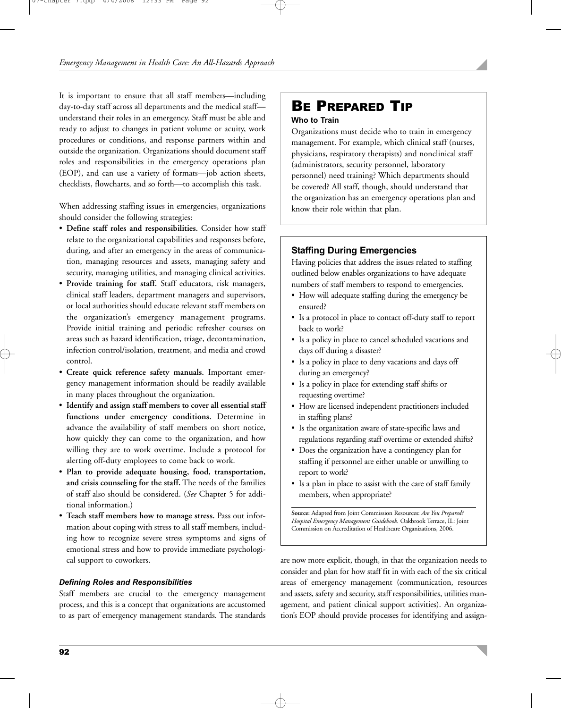It is important to ensure that all staff members—including day-to-day staff across all departments and the medical staff understand their roles in an emergency. Staff must be able and ready to adjust to changes in patient volume or acuity, work procedures or conditions, and response partners within and outside the organization. Organizations should document staff roles and responsibilities in the emergency operations plan (EOP), and can use a variety of formats—job action sheets, checklists, flowcharts, and so forth—to accomplish this task.

When addressing staffing issues in emergencies, organizations should consider the following strategies:

- **Define staff roles and responsibilities.** Consider how staff relate to the organizational capabilities and responses before, during, and after an emergency in the areas of communication, managing resources and assets, managing safety and security, managing utilities, and managing clinical activities.
- **Provide training for staff.** Staff educators, risk managers, clinical staff leaders, department managers and supervisors, or local authorities should educate relevant staff members on the organization's emergency management programs. Provide initial training and periodic refresher courses on areas such as hazard identification, triage, decontamination, infection control/isolation, treatment, and media and crowd control.
- **Create quick reference safety manuals.** Important emergency management information should be readily available in many places throughout the organization.
- **Identify and assign staff members to cover all essential staff functions under emergency conditions.** Determine in advance the availability of staff members on short notice, how quickly they can come to the organization, and how willing they are to work overtime. Include a protocol for alerting off-duty employees to come back to work.
- **Plan to provide adequate housing, food, transportation, and crisis counseling for the staff.** The needs of the families of staff also should be considered. (*See* Chapter 5 for additional information.)
- **Teach staff members how to manage stress.** Pass out information about coping with stress to all staff members, including how to recognize severe stress symptoms and signs of emotional stress and how to provide immediate psychological support to coworkers.

## *Defining Roles and Responsibilities*

Staff members are crucial to the emergency management process, and this is a concept that organizations are accustomed to as part of emergency management standards. The standards

# BE PREPARED TIP

## **Who to Train**

Organizations must decide who to train in emergency management. For example, which clinical staff (nurses, physicians, respiratory therapists) and nonclinical staff (administrators, security personnel, laboratory personnel) need training? Which departments should be covered? All staff, though, should understand that the organization has an emergency operations plan and know their role within that plan.

## **Staffing During Emergencies**

Having policies that address the issues related to staffing outlined below enables organizations to have adequate numbers of staff members to respond to emergencies.

- How will adequate staffing during the emergency be ensured?
- Is a protocol in place to contact off-duty staff to report back to work?
- Is a policy in place to cancel scheduled vacations and days off during a disaster?
- Is a policy in place to deny vacations and days off during an emergency?
- Is a policy in place for extending staff shifts or requesting overtime?
- How are licensed independent practitioners included in staffing plans?
- Is the organization aware of state-specific laws and regulations regarding staff overtime or extended shifts?
- Does the organization have a contingency plan for staffing if personnel are either unable or unwilling to report to work?
- Is a plan in place to assist with the care of staff family members, when appropriate?

**Source:** Adapted from Joint Commission Resources: *Are You Prepared? Hospital Emergency Management Guidebook.* Oakbrook Terrace, IL: Joint Commission on Accreditation of Healthcare Organizations, 2006.

are now more explicit, though, in that the organization needs to consider and plan for how staff fit in with each of the six critical areas of emergency management (communication, resources and assets, safety and security, staff responsibilities, utilities management, and patient clinical support activities). An organization's EOP should provide processes for identifying and assign-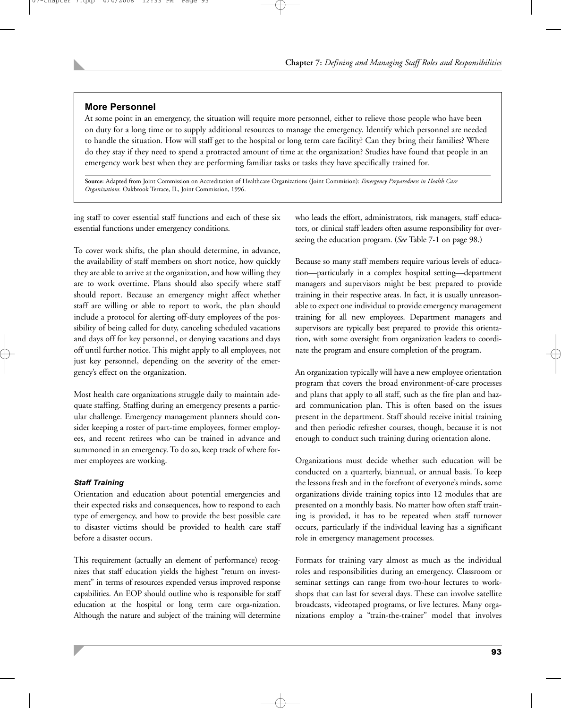## **More Personnel**

At some point in an emergency, the situation will require more personnel, either to relieve those people who have been on duty for a long time or to supply additional resources to manage the emergency. Identify which personnel are needed to handle the situation. How will staff get to the hospital or long term care facility? Can they bring their families? Where do they stay if they need to spend a protracted amount of time at the organization? Studies have found that people in an emergency work best when they are performing familiar tasks or tasks they have specifically trained for.

**Source:** Adapted from Joint Commission on Accreditation of Healthcare Organizations (Joint Commision): *Emergency Preparedness in Health Care Organizations.* Oakbrook Terrace, IL, Joint Commission, 1996.

ing staff to cover essential staff functions and each of these six essential functions under emergency conditions.

To cover work shifts, the plan should determine, in advance, the availability of staff members on short notice, how quickly they are able to arrive at the organization, and how willing they are to work overtime. Plans should also specify where staff should report. Because an emergency might affect whether staff are willing or able to report to work, the plan should include a protocol for alerting off-duty employees of the possibility of being called for duty, canceling scheduled vacations and days off for key personnel, or denying vacations and days off until further notice. This might apply to all employees, not just key personnel, depending on the severity of the emergency's effect on the organization.

Most health care organizations struggle daily to maintain adequate staffing. Staffing during an emergency presents a particular challenge. Emergency management planners should consider keeping a roster of part-time employees, former employees, and recent retirees who can be trained in advance and summoned in an emergency. To do so, keep track of where former employees are working.

## *Staff Training*

Orientation and education about potential emergencies and their expected risks and consequences, how to respond to each type of emergency, and how to provide the best possible care to disaster victims should be provided to health care staff before a disaster occurs.

This requirement (actually an element of performance) recognizes that staff education yields the highest "return on investment" in terms of resources expended versus improved response capabilities. An EOP should outline who is responsible for staff education at the hospital or long term care orga-nization. Although the nature and subject of the training will determine

who leads the effort, administrators, risk managers, staff educators, or clinical staff leaders often assume responsibility for overseeing the education program. (*See* Table 7-1 on page 98.)

Because so many staff members require various levels of education—particularly in a complex hospital setting—department managers and supervisors might be best prepared to provide training in their respective areas. In fact, it is usually unreasonable to expect one individual to provide emergency management training for all new employees. Department managers and supervisors are typically best prepared to provide this orientation, with some oversight from organization leaders to coordinate the program and ensure completion of the program.

An organization typically will have a new employee orientation program that covers the broad environment-of-care processes and plans that apply to all staff, such as the fire plan and hazard communication plan. This is often based on the issues present in the department. Staff should receive initial training and then periodic refresher courses, though, because it is not enough to conduct such training during orientation alone.

Organizations must decide whether such education will be conducted on a quarterly, biannual, or annual basis. To keep the lessons fresh and in the forefront of everyone's minds, some organizations divide training topics into 12 modules that are presented on a monthly basis. No matter how often staff training is provided, it has to be repeated when staff turnover occurs, particularly if the individual leaving has a significant role in emergency management processes.

Formats for training vary almost as much as the individual roles and responsibilities during an emergency. Classroom or seminar settings can range from two-hour lectures to workshops that can last for several days. These can involve satellite broadcasts, videotaped programs, or live lectures. Many organizations employ a "train-the-trainer" model that involves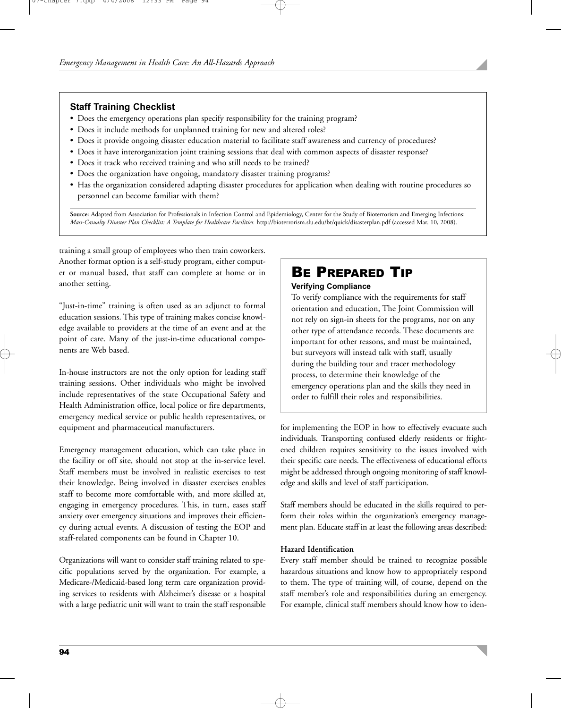## **Staff Training Checklist**

- Does the emergency operations plan specify responsibility for the training program?
- Does it include methods for unplanned training for new and altered roles?
- Does it provide ongoing disaster education material to facilitate staff awareness and currency of procedures?
- Does it have interorganization joint training sessions that deal with common aspects of disaster response?
- Does it track who received training and who still needs to be trained?
- Does the organization have ongoing, mandatory disaster training programs?
- Has the organization considered adapting disaster procedures for application when dealing with routine procedures so personnel can become familiar with them?

**Source:** Adapted from Association for Professionals in Infection Control and Epidemiology, Center for the Study of Bioterrorism and Emerging Infections: Mass-Casualty Disaster Plan Checklist: A Template for Healthcare Facilities. http://bioterrorism.slu.edu/bt/quick/disasterplan.pdf (accessed Mar. 10, 2008).

training a small group of employees who then train coworkers. Another format option is a self-study program, either computer or manual based, that staff can complete at home or in another setting.

"Just-in-time" training is often used as an adjunct to formal education sessions. This type of training makes concise knowledge available to providers at the time of an event and at the point of care. Many of the just-in-time educational components are Web based.

In-house instructors are not the only option for leading staff training sessions. Other individuals who might be involved include representatives of the state Occupational Safety and Health Administration office, local police or fire departments, emergency medical service or public health representatives, or equipment and pharmaceutical manufacturers.

Emergency management education, which can take place in the facility or off site, should not stop at the in-service level. Staff members must be involved in realistic exercises to test their knowledge. Being involved in disaster exercises enables staff to become more comfortable with, and more skilled at, engaging in emergency procedures. This, in turn, eases staff anxiety over emergency situations and improves their efficiency during actual events. A discussion of testing the EOP and staff-related components can be found in Chapter 10.

Organizations will want to consider staff training related to specific populations served by the organization. For example, a Medicare-/Medicaid-based long term care organization providing services to residents with Alzheimer's disease or a hospital with a large pediatric unit will want to train the staff responsible

# BE PREPARED TIP

## **Verifying Compliance**

To verify compliance with the requirements for staff orientation and education, The Joint Commission will not rely on sign-in sheets for the programs, nor on any other type of attendance records. These documents are important for other reasons, and must be maintained, but surveyors will instead talk with staff, usually during the building tour and tracer methodology process, to determine their knowledge of the emergency operations plan and the skills they need in order to fulfill their roles and responsibilities.

for implementing the EOP in how to effectively evacuate such individuals. Transporting confused elderly residents or frightened children requires sensitivity to the issues involved with their specific care needs. The effectiveness of educational efforts might be addressed through ongoing monitoring of staff knowledge and skills and level of staff participation.

Staff members should be educated in the skills required to perform their roles within the organization's emergency management plan. Educate staff in at least the following areas described:

## **Hazard Identification**

Every staff member should be trained to recognize possible hazardous situations and know how to appropriately respond to them. The type of training will, of course, depend on the staff member's role and responsibilities during an emergency. For example, clinical staff members should know how to iden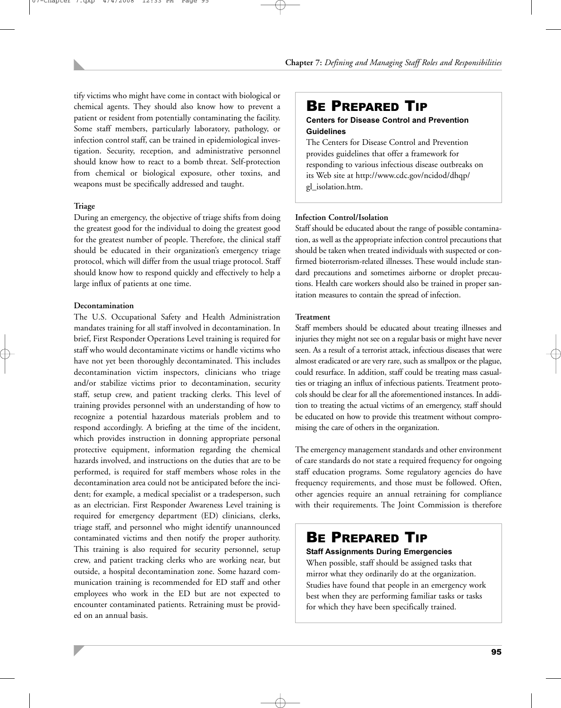tify victims who might have come in contact with biological or chemical agents. They should also know how to prevent a patient or resident from potentially contaminating the facility. Some staff members, particularly laboratory, pathology, or infection control staff, can be trained in epidemiological investigation. Security, reception, and administrative personnel should know how to react to a bomb threat. Self-protection from chemical or biological exposure, other toxins, and weapons must be specifically addressed and taught.

## **Triage**

During an emergency, the objective of triage shifts from doing the greatest good for the individual to doing the greatest good for the greatest number of people. Therefore, the clinical staff should be educated in their organization's emergency triage protocol, which will differ from the usual triage protocol. Staff should know how to respond quickly and effectively to help a large influx of patients at one time.

## **Decontamination**

The U.S. Occupational Safety and Health Administration mandates training for all staff involved in decontamination. In brief, First Responder Operations Level training is required for staff who would decontaminate victims or handle victims who have not yet been thoroughly decontaminated. This includes decontamination victim inspectors, clinicians who triage and/or stabilize victims prior to decontamination, security staff, setup crew, and patient tracking clerks. This level of training provides personnel with an understanding of how to recognize a potential hazardous materials problem and to respond accordingly. A briefing at the time of the incident, which provides instruction in donning appropriate personal protective equipment, information regarding the chemical hazards involved, and instructions on the duties that are to be performed, is required for staff members whose roles in the decontamination area could not be anticipated before the incident; for example, a medical specialist or a tradesperson, such as an electrician. First Responder Awareness Level training is required for emergency department (ED) clinicians, clerks, triage staff, and personnel who might identify unannounced contaminated victims and then notify the proper authority. This training is also required for security personnel, setup crew, and patient tracking clerks who are working near, but outside, a hospital decontamination zone. Some hazard communication training is recommended for ED staff and other employees who work in the ED but are not expected to encounter contaminated patients. Retraining must be provided on an annual basis.

## BE PREPARED TIP

## **Centers for Disease Control and Prevention Guidelines**

The Centers for Disease Control and Prevention provides guidelines that offer a framework for responding to various infectious disease outbreaks on its Web site at http://www.cdc.gov/ncidod/dhqp/ gl\_isolation.htm.

## **Infection Control/Isolation**

Staff should be educated about the range of possible contamination, as well as the appropriate infection control precautions that should be taken when treated individuals with suspected or confirmed bioterrorism-related illnesses. These would include standard precautions and sometimes airborne or droplet precautions. Health care workers should also be trained in proper sanitation measures to contain the spread of infection.

#### **Treatment**

Staff members should be educated about treating illnesses and injuries they might not see on a regular basis or might have never seen. As a result of a terrorist attack, infectious diseases that were almost eradicated or are very rare, such as smallpox or the plague, could resurface. In addition, staff could be treating mass casualties or triaging an influx of infectious patients. Treatment protocols should be clear for all the aforementioned instances. In addition to treating the actual victims of an emergency, staff should be educated on how to provide this treatment without compromising the care of others in the organization.

The emergency management standards and other environment of care standards do not state a required frequency for ongoing staff education programs. Some regulatory agencies do have frequency requirements, and those must be followed. Often, other agencies require an annual retraining for compliance with their requirements. The Joint Commission is therefore

## BE PREPARED TIP

## **Staff Assignments During Emergencies**

When possible, staff should be assigned tasks that mirror what they ordinarily do at the organization. Studies have found that people in an emergency work best when they are performing familiar tasks or tasks for which they have been specifically trained.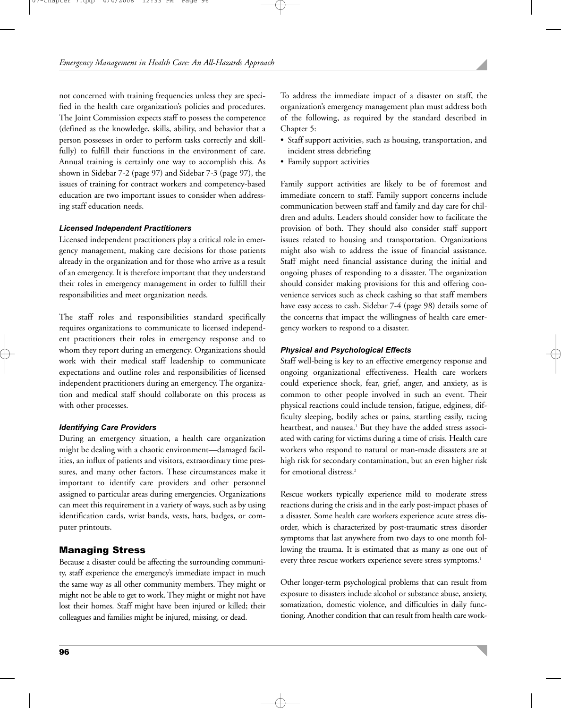not concerned with training frequencies unless they are specified in the health care organization's policies and procedures. The Joint Commission expects staff to possess the competence (defined as the knowledge, skills, ability, and behavior that a person possesses in order to perform tasks correctly and skillfully) to fulfill their functions in the environment of care. Annual training is certainly one way to accomplish this. As shown in Sidebar 7-2 (page 97) and Sidebar 7-3 (page 97), the issues of training for contract workers and competency-based education are two important issues to consider when addressing staff education needs.

## *Licensed Independent Practitioners*

Licensed independent practitioners play a critical role in emergency management, making care decisions for those patients already in the organization and for those who arrive as a result of an emergency. It is therefore important that they understand their roles in emergency management in order to fulfill their responsibilities and meet organization needs.

The staff roles and responsibilities standard specifically requires organizations to communicate to licensed independent practitioners their roles in emergency response and to whom they report during an emergency. Organizations should work with their medical staff leadership to communicate expectations and outline roles and responsibilities of licensed independent practitioners during an emergency. The organization and medical staff should collaborate on this process as with other processes.

#### *Identifying Care Providers*

During an emergency situation, a health care organization might be dealing with a chaotic environment—damaged facilities, an influx of patients and visitors, extraordinary time pressures, and many other factors. These circumstances make it important to identify care providers and other personnel assigned to particular areas during emergencies. Organizations can meet this requirement in a variety of ways, such as by using identification cards, wrist bands, vests, hats, badges, or computer printouts.

## Managing Stress

Because a disaster could be affecting the surrounding community, staff experience the emergency's immediate impact in much the same way as all other community members. They might or might not be able to get to work. They might or might not have lost their homes. Staff might have been injured or killed; their colleagues and families might be injured, missing, or dead.

To address the immediate impact of a disaster on staff, the organization's emergency management plan must address both of the following, as required by the standard described in Chapter 5:

- Staff support activities, such as housing, transportation, and incident stress debriefing
- Family support activities

Family support activities are likely to be of foremost and immediate concern to staff. Family support concerns include communication between staff and family and day care for children and adults. Leaders should consider how to facilitate the provision of both. They should also consider staff support issues related to housing and transportation. Organizations might also wish to address the issue of financial assistance. Staff might need financial assistance during the initial and ongoing phases of responding to a disaster. The organization should consider making provisions for this and offering convenience services such as check cashing so that staff members have easy access to cash. Sidebar 7-4 (page 98) details some of the concerns that impact the willingness of health care emergency workers to respond to a disaster.

## *Physical and Psychological Effects*

Staff well-being is key to an effective emergency response and ongoing organizational effectiveness. Health care workers could experience shock, fear, grief, anger, and anxiety, as is common to other people involved in such an event. Their physical reactions could include tension, fatigue, edginess, difficulty sleeping, bodily aches or pains, startling easily, racing heartbeat, and nausea.<sup>1</sup> But they have the added stress associated with caring for victims during a time of crisis. Health care workers who respond to natural or man-made disasters are at high risk for secondary contamination, but an even higher risk for emotional distress.<sup>2</sup>

Rescue workers typically experience mild to moderate stress reactions during the crisis and in the early post-impact phases of a disaster. Some health care workers experience acute stress disorder, which is characterized by post-traumatic stress disorder symptoms that last anywhere from two days to one month following the trauma. It is estimated that as many as one out of every three rescue workers experience severe stress symptoms.<sup>1</sup>

Other longer-term psychological problems that can result from exposure to disasters include alcohol or substance abuse, anxiety, somatization, domestic violence, and difficulties in daily functioning. Another condition that can result from health care work-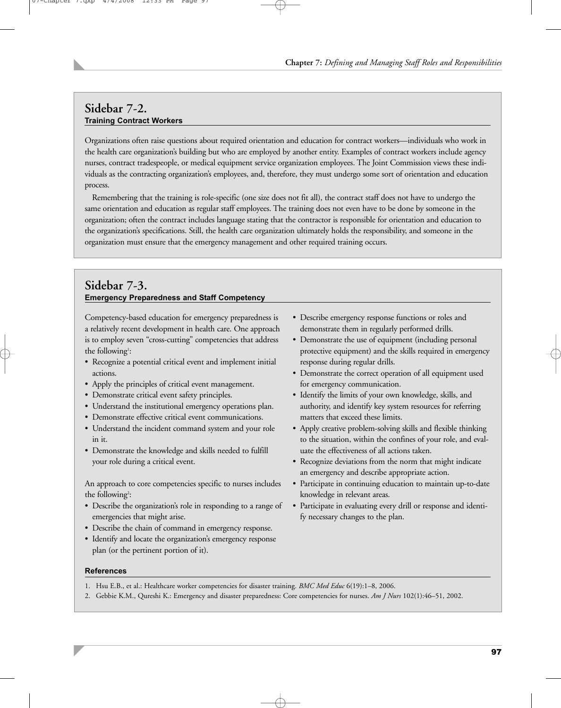## **Sidebar 7-2. Training Contract Workers**

Organizations often raise questions about required orientation and education for contract workers—individuals who work in the health care organization's building but who are employed by another entity. Examples of contract workers include agency nurses, contract tradespeople, or medical equipment service organization employees. The Joint Commission views these individuals as the contracting organization's employees, and, therefore, they must undergo some sort of orientation and education process.

Remembering that the training is role-specific (one size does not fit all), the contract staff does not have to undergo the same orientation and education as regular staff employees. The training does not even have to be done by someone in the organization; often the contract includes language stating that the contractor is responsible for orientation and education to the organization's specifications. Still, the health care organization ultimately holds the responsibility, and someone in the organization must ensure that the emergency management and other required training occurs.

## **Sidebar 7-3. Emergency Preparedness and Staff Competency**

Competency-based education for emergency preparedness is a relatively recent development in health care. One approach is to employ seven "cross-cutting" competencies that address the following<sup>1</sup>:

- Recognize a potential critical event and implement initial actions.
- Apply the principles of critical event management.
- Demonstrate critical event safety principles.
- Understand the institutional emergency operations plan.
- Demonstrate effective critical event communications.
- Understand the incident command system and your role in it.
- Demonstrate the knowledge and skills needed to fulfill your role during a critical event.

An approach to core competencies specific to nurses includes the following<sup>2</sup>:

- Describe the organization's role in responding to a range of emergencies that might arise.
- Describe the chain of command in emergency response.
- Identify and locate the organization's emergency response plan (or the pertinent portion of it).
- Describe emergency response functions or roles and demonstrate them in regularly performed drills.
- Demonstrate the use of equipment (including personal protective equipment) and the skills required in emergency response during regular drills.
- Demonstrate the correct operation of all equipment used for emergency communication.
- Identify the limits of your own knowledge, skills, and authority, and identify key system resources for referring matters that exceed these limits.
- Apply creative problem-solving skills and flexible thinking to the situation, within the confines of your role, and evaluate the effectiveness of all actions taken.
- Recognize deviations from the norm that might indicate an emergency and describe appropriate action.
- Participate in continuing education to maintain up-to-date knowledge in relevant areas.
- Participate in evaluating every drill or response and identify necessary changes to the plan.

- **References**
- 1. Hsu E.B., et al.: Healthcare worker competencies for disaster training. *BMC Med Educ* 6(19):1–8, 2006.
- 2. Gebbie K.M., Qureshi K.: Emergency and disaster preparedness: Core competencies for nurses. *Am J Nurs* 102(1):46–51, 2002.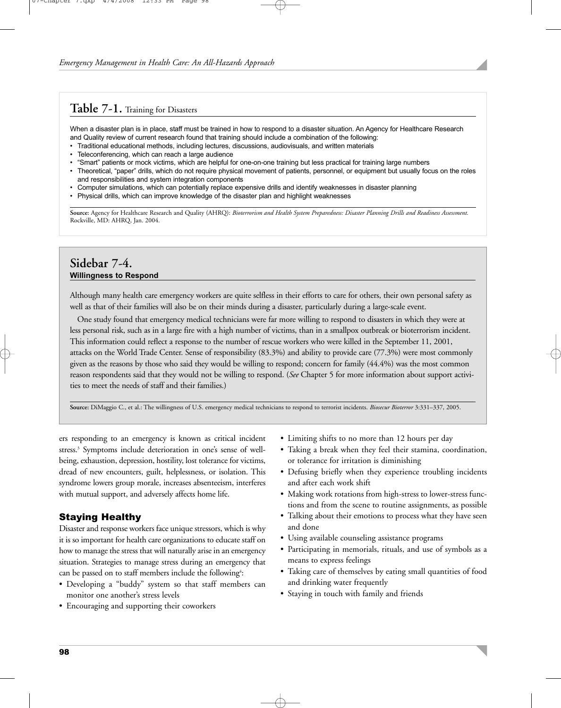## **Table 7-1.** Training for Disasters

When a disaster plan is in place, staff must be trained in how to respond to a disaster situation. An Agency for Healthcare Research and Quality review of current research found that training should include a combination of the following:

- Traditional educational methods, including lectures, discussions, audiovisuals, and written materials
- Teleconferencing, which can reach a large audience
- "Smart" patients or mock victims, which are helpful for one-on-one training but less practical for training large numbers
- Theoretical, "paper" drills, which do not require physical movement of patients, personnel, or equipment but usually focus on the roles and responsibilities and system integration components
- Computer simulations, which can potentially replace expensive drills and identify weaknesses in disaster planning
- Physical drills, which can improve knowledge of the disaster plan and highlight weaknesses

**Source:** Agency for Healthcare Research and Quality (AHRQ): *Bioterrorism and Health System Preparedness: Disaster Planning Drills and Readiness Assessment.* Rockville, MD: AHRQ, Jan. 2004.

## **Sidebar 7-4. Willingness to Respond**

Although many health care emergency workers are quite selfless in their efforts to care for others, their own personal safety as well as that of their families will also be on their minds during a disaster, particularly during a large-scale event.

One study found that emergency medical technicians were far more willing to respond to disasters in which they were at less personal risk, such as in a large fire with a high number of victims, than in a smallpox outbreak or bioterrorism incident. This information could reflect a response to the number of rescue workers who were killed in the September 11, 2001, attacks on the World Trade Center. Sense of responsibility (83.3%) and ability to provide care (77.3%) were most commonly given as the reasons by those who said they would be willing to respond; concern for family (44.4%) was the most common reason respondents said that they would not be willing to respond. (*See* Chapter 5 for more information about support activities to meet the needs of staff and their families.)

**Source:** DiMaggio C., et al.: The willingness of U.S. emergency medical technicians to respond to terrorist incidents. *Biosecur Bioterror* 3:331–337, 2005.

ers responding to an emergency is known as critical incident stress.<sup>3</sup> Symptoms include deterioration in one's sense of wellbeing, exhaustion, depression, hostility, lost tolerance for victims, dread of new encounters, guilt, helplessness, or isolation. This syndrome lowers group morale, increases absenteeism, interferes with mutual support, and adversely affects home life.

## Staying Healthy

Disaster and response workers face unique stressors, which is why it is so important for health care organizations to educate staff on how to manage the stress that will naturally arise in an emergency situation. Strategies to manage stress during an emergency that can be passed on to staff members include the following<sup>4</sup>:

- Developing a "buddy" system so that staff members can monitor one another's stress levels
- Encouraging and supporting their coworkers
- Limiting shifts to no more than 12 hours per day
- Taking a break when they feel their stamina, coordination, or tolerance for irritation is diminishing
- Defusing briefly when they experience troubling incidents and after each work shift
- Making work rotations from high-stress to lower-stress functions and from the scene to routine assignments, as possible
- Talking about their emotions to process what they have seen and done
- Using available counseling assistance programs
- Participating in memorials, rituals, and use of symbols as a means to express feelings
- Taking care of themselves by eating small quantities of food and drinking water frequently
- Staying in touch with family and friends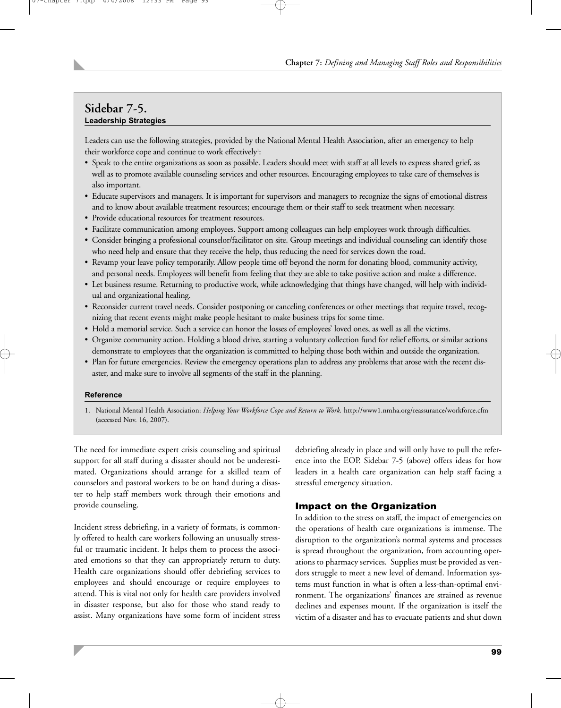## **Sidebar 7-5. Leadership Strategies**

Leaders can use the following strategies, provided by the National Mental Health Association, after an emergency to help their workforce cope and continue to work effectively<sup>1</sup>:

- Speak to the entire organizations as soon as possible. Leaders should meet with staff at all levels to express shared grief, as well as to promote available counseling services and other resources. Encouraging employees to take care of themselves is also important.
- Educate supervisors and managers. It is important for supervisors and managers to recognize the signs of emotional distress and to know about available treatment resources; encourage them or their staff to seek treatment when necessary.
- Provide educational resources for treatment resources.
- Facilitate communication among employees. Support among colleagues can help employees work through difficulties.
- Consider bringing a professional counselor/facilitator on site. Group meetings and individual counseling can identify those who need help and ensure that they receive the help, thus reducing the need for services down the road.
- Revamp your leave policy temporarily. Allow people time off beyond the norm for donating blood, community activity, and personal needs. Employees will benefit from feeling that they are able to take positive action and make a difference.
- Let business resume. Returning to productive work, while acknowledging that things have changed, will help with individual and organizational healing.
- Reconsider current travel needs. Consider postponing or canceling conferences or other meetings that require travel, recognizing that recent events might make people hesitant to make business trips for some time.
- Hold a memorial service. Such a service can honor the losses of employees' loved ones, as well as all the victims.
- Organize community action. Holding a blood drive, starting a voluntary collection fund for relief efforts, or similar actions demonstrate to employees that the organization is committed to helping those both within and outside the organization.
- Plan for future emergencies. Review the emergency operations plan to address any problems that arose with the recent disaster, and make sure to involve all segments of the staff in the planning.

## **Reference**

1. National Mental Health Association: *Helping Your Workforce Cope and Return to Work.* http://www1.nmha.org/reassurance/workforce.cfm (accessed Nov. 16, 2007).

The need for immediate expert crisis counseling and spiritual support for all staff during a disaster should not be underestimated. Organizations should arrange for a skilled team of counselors and pastoral workers to be on hand during a disaster to help staff members work through their emotions and provide counseling.

Incident stress debriefing, in a variety of formats, is commonly offered to health care workers following an unusually stressful or traumatic incident. It helps them to process the associated emotions so that they can appropriately return to duty. Health care organizations should offer debriefing services to employees and should encourage or require employees to attend. This is vital not only for health care providers involved in disaster response, but also for those who stand ready to assist. Many organizations have some form of incident stress

debriefing already in place and will only have to pull the reference into the EOP. Sidebar 7-5 (above) offers ideas for how leaders in a health care organization can help staff facing a stressful emergency situation.

## Impact on the Organization

In addition to the stress on staff, the impact of emergencies on the operations of health care organizations is immense. The disruption to the organization's normal systems and processes is spread throughout the organization, from accounting operations to pharmacy services. Supplies must be provided as vendors struggle to meet a new level of demand. Information systems must function in what is often a less-than-optimal environment. The organizations' finances are strained as revenue declines and expenses mount. If the organization is itself the victim of a disaster and has to evacuate patients and shut down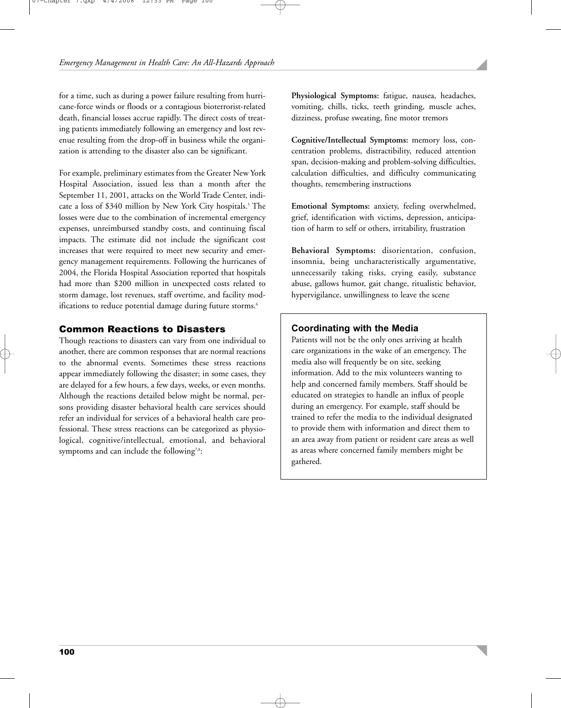for a time, such as during a power failure resulting from hurricane-force winds or floods or a contagious bioterrorist-related death, financial losses accrue rapidly. The direct costs of treating patients immediately following an emergency and lost revenue resulting from the drop-off in business while the organization is attending to the disaster also can be significant.

For example, preliminary estimates from the Greater New York Hospital Association, issued less than a month after the September 11, 2001, attacks on the World Trade Center, indicate a loss of \$340 million by New York City hospitals.<sup>5</sup> The losses were due to the combination of incremental emergency expenses, unreimbursed standby costs, and continuing fiscal impacts. The estimate did not include the significant cost increases that were required to meet new security and emergency management requirements. Following the hurricanes of 2004, the Florida Hospital Association reported that hospitals had more than \$200 million in unexpected costs related to storm damage, lost revenues, staff overtime, and facility modifications to reduce potential damage during future storms.<sup>6</sup>

## Common Reactions to Disasters

Though reactions to disasters can vary from one individual to another, there are common responses that are normal reactions to the abnormal events. Sometimes these stress reactions appear immediately following the disaster; in some cases, they are delayed for a few hours, a few days, weeks, or even months. Although the reactions detailed below might be normal, persons providing disaster behavioral health care services should refer an individual for services of a behavioral health care professional. These stress reactions can be categorized as physiological, cognitive/intellectual, emotional, and behavioral symptoms and can include the following<sup>7,8</sup>:

**Physiological Symptoms:** fatigue, nausea, headaches, vomiting, chills, ticks, teeth grinding, muscle aches, dizziness, profuse sweating, fine motor tremors

**Cognitive/Intellectual Symptoms:** memory loss, concentration problems, distractibility, reduced attention span, decision-making and problem-solving difficulties, calculation difficulties, and difficulty communicating thoughts, remembering instructions

**Emotional Symptoms:** anxiety, feeling overwhelmed, grief, identification with victims, depression, anticipation of harm to self or others, irritability, frustration

**Behavioral Symptoms:** disorientation, confusion, insomnia, being uncharacteristically argumentative, unnecessarily taking risks, crying easily, substance abuse, gallows humor, gait change, ritualistic behavior, hypervigilance, unwillingness to leave the scene

## **Coordinating with the Media**

Patients will not be the only ones arriving at health care organizations in the wake of an emergency. The media also will frequently be on site, seeking information. Add to the mix volunteers wanting to help and concerned family members. Staff should be educated on strategies to handle an influx of people during an emergency. For example, staff should be trained to refer the media to the individual designated to provide them with information and direct them to an area away from patient or resident care areas as well as areas where concerned family members might be gathered.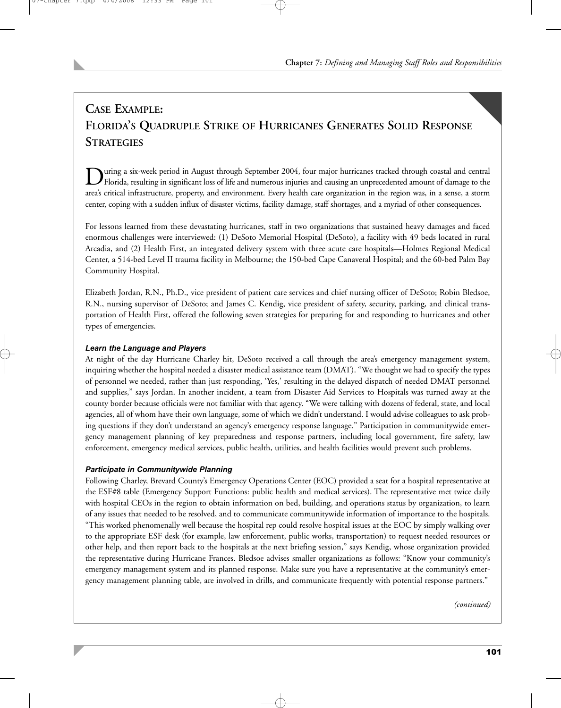# **CASE EXAMPLE: FLORIDA'S QUADRUPLE STRIKE OF HURRICANES GENERATES SOLID RESPONSE STRATEGIES**

During a six-week period in August through September 2004, four major hurricanes tracked through coastal and central<br>Florida, resulting in significant loss of life and numerous injuries and causing an unprecedented amount area's critical infrastructure, property, and environment. Every health care organization in the region was, in a sense, a storm center, coping with a sudden influx of disaster victims, facility damage, staff shortages, and a myriad of other consequences.

For lessons learned from these devastating hurricanes, staff in two organizations that sustained heavy damages and faced enormous challenges were interviewed: (1) DeSoto Memorial Hospital (DeSoto), a facility with 49 beds located in rural Arcadia, and (2) Health First, an integrated delivery system with three acute care hospitals—Holmes Regional Medical Center, a 514-bed Level II trauma facility in Melbourne; the 150-bed Cape Canaveral Hospital; and the 60-bed Palm Bay Community Hospital.

Elizabeth Jordan, R.N., Ph.D., vice president of patient care services and chief nursing officer of DeSoto; Robin Bledsoe, R.N., nursing supervisor of DeSoto; and James C. Kendig, vice president of safety, security, parking, and clinical transportation of Health First, offered the following seven strategies for preparing for and responding to hurricanes and other types of emergencies.

## *Learn the Language and Players*

At night of the day Hurricane Charley hit, DeSoto received a call through the area's emergency management system, inquiring whether the hospital needed a disaster medical assistance team (DMAT). "We thought we had to specify the types of personnel we needed, rather than just responding, 'Yes,' resulting in the delayed dispatch of needed DMAT personnel and supplies," says Jordan. In another incident, a team from Disaster Aid Services to Hospitals was turned away at the county border because officials were not familiar with that agency. "We were talking with dozens of federal, state, and local agencies, all of whom have their own language, some of which we didn't understand. I would advise colleagues to ask probing questions if they don't understand an agency's emergency response language." Participation in communitywide emergency management planning of key preparedness and response partners, including local government, fire safety, law enforcement, emergency medical services, public health, utilities, and health facilities would prevent such problems.

## *Participate in Communitywide Planning*

Following Charley, Brevard County's Emergency Operations Center (EOC) provided a seat for a hospital representative at the ESF#8 table (Emergency Support Functions: public health and medical services). The representative met twice daily with hospital CEOs in the region to obtain information on bed, building, and operations status by organization, to learn of any issues that needed to be resolved, and to communicate communitywide information of importance to the hospitals. "This worked phenomenally well because the hospital rep could resolve hospital issues at the EOC by simply walking over to the appropriate ESF desk (for example, law enforcement, public works, transportation) to request needed resources or other help, and then report back to the hospitals at the next briefing session," says Kendig, whose organization provided the representative during Hurricane Frances. Bledsoe advises smaller organizations as follows: "Know your community's emergency management system and its planned response. Make sure you have a representative at the community's emergency management planning table, are involved in drills, and communicate frequently with potential response partners."

*(continued)*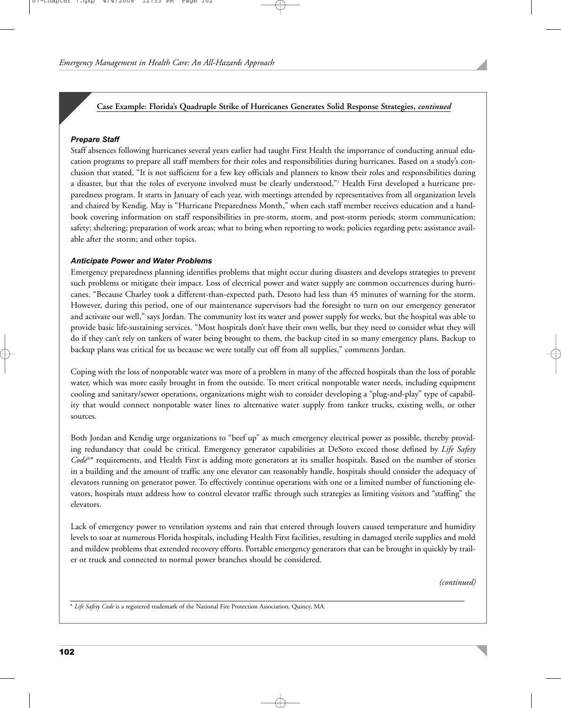## **Case Example: Florida's Quadruple Strike of Hurricanes Generates Solid Response Strategies,** *continued*

#### *Prepare Staff*

Staff absences following hurricanes several years earlier had taught First Health the importance of conducting annual education programs to prepare all staff members for their roles and responsibilities during hurricanes. Based on a study's conclusion that stated, "It is not sufficient for a few key officials and planners to know their roles and responsibilities during a disaster, but that the roles of everyone involved must be clearly understood,"1 Health First developed a hurricane preparedness program. It starts in January of each year, with meetings attended by representatives from all organization levels and chaired by Kendig. May is "Hurricane Preparedness Month," when each staff member receives education and a handbook covering information on staff responsibilities in pre-storm, storm, and post-storm periods; storm communication; safety; sheltering; preparation of work areas; what to bring when reporting to work; policies regarding pets; assistance available after the storm; and other topics.

#### *Anticipate Power and Water Problems*

Emergency preparedness planning identifies problems that might occur during disasters and develops strategies to prevent such problems or mitigate their impact. Loss of electrical power and water supply are common occurrences during hurricanes. "Because Charley took a different-than-expected path, Desoto had less than 45 minutes of warning for the storm. However, during this period, one of our maintenance supervisors had the foresight to turn on our emergency generator and activate our well," says Jordan. The community lost its water and power supply for weeks, but the hospital was able to provide basic life-sustaining services. "Most hospitals don't have their own wells, but they need to consider what they will do if they can't rely on tankers of water being brought to them, the backup cited in so many emergency plans. Backup to backup plans was critical for us because we were totally cut off from all supplies," comments Jordan.

Coping with the loss of nonpotable water was more of a problem in many of the affected hospitals than the loss of potable water, which was more easily brought in from the outside. To meet critical nonpotable water needs, including equipment cooling and sanitary/sewer operations, organizations might wish to consider developing a "plug-and-play" type of capability that would connect nonpotable water lines to alternative water supply from tanker trucks, existing wells, or other sources.

Both Jordan and Kendig urge organizations to "beef up" as much emergency electrical power as possible, thereby providing redundancy that could be critical. Emergency generator capabilities at DeSoto exceed those defined by *Life Safety Code*®\* requirements, and Health First is adding more generators at its smaller hospitals. Based on the number of stories in a building and the amount of traffic any one elevator can reasonably handle, hospitals should consider the adequacy of elevators running on generator power. To effectively continue operations with one or a limited number of functioning elevators, hospitals must address how to control elevator traffic through such strategies as limiting visitors and "staffing" the elevators.

Lack of emergency power to ventilation systems and rain that entered through louvers caused temperature and humidity levels to soar at numerous Florida hospitals, including Health First facilities, resulting in damaged sterile supplies and mold and mildew problems that extended recovery efforts. Portable emergency generators that can be brought in quickly by trailer or truck and connected to normal power branches should be considered.

*(continued)*

\* *Life Safety Code* is a registered trademark of the National Fire Protection Association, Quincy, MA.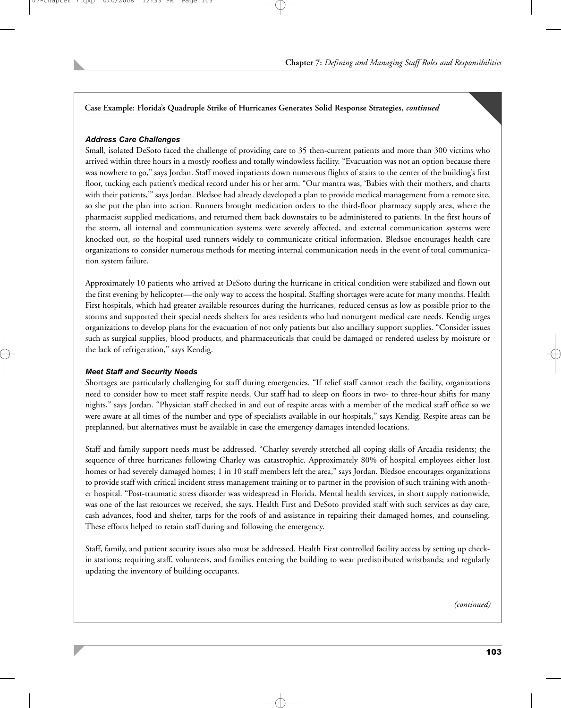## **Case Example: Florida's Quadruple Strike of Hurricanes Generates Solid Response Strategies,** *continued*

## *Address Care Challenges*

Small, isolated DeSoto faced the challenge of providing care to 35 then-current patients and more than 300 victims who arrived within three hours in a mostly roofless and totally windowless facility. "Evacuation was not an option because there was nowhere to go," says Jordan. Staff moved inpatients down numerous flights of stairs to the center of the building's first floor, tucking each patient's medical record under his or her arm. "Our mantra was, 'Babies with their mothers, and charts with their patients,'" says Jordan. Bledsoe had already developed a plan to provide medical management from a remote site, so she put the plan into action. Runners brought medication orders to the third-floor pharmacy supply area, where the pharmacist supplied medications, and returned them back downstairs to be administered to patients. In the first hours of the storm, all internal and communication systems were severely affected, and external communication systems were knocked out, so the hospital used runners widely to communicate critical information. Bledsoe encourages health care organizations to consider numerous methods for meeting internal communication needs in the event of total communication system failure.

Approximately 10 patients who arrived at DeSoto during the hurricane in critical condition were stabilized and flown out the first evening by helicopter—the only way to access the hospital. Staffing shortages were acute for many months. Health First hospitals, which had greater available resources during the hurricanes, reduced census as low as possible prior to the storms and supported their special needs shelters for area residents who had nonurgent medical care needs. Kendig urges organizations to develop plans for the evacuation of not only patients but also ancillary support supplies. "Consider issues such as surgical supplies, blood products, and pharmaceuticals that could be damaged or rendered useless by moisture or the lack of refrigeration," says Kendig.

## *Meet Staff and Security Needs*

Shortages are particularly challenging for staff during emergencies. "If relief staff cannot reach the facility, organizations need to consider how to meet staff respite needs. Our staff had to sleep on floors in two- to three-hour shifts for many nights," says Jordan. "Physician staff checked in and out of respite areas with a member of the medical staff office so we were aware at all times of the number and type of specialists available in our hospitals," says Kendig. Respite areas can be preplanned, but alternatives must be available in case the emergency damages intended locations.

Staff and family support needs must be addressed. "Charley severely stretched all coping skills of Arcadia residents; the sequence of three hurricanes following Charley was catastrophic. Approximately 80% of hospital employees either lost homes or had severely damaged homes; 1 in 10 staff members left the area," says Jordan. Bledsoe encourages organizations to provide staff with critical incident stress management training or to partner in the provision of such training with another hospital. "Post-traumatic stress disorder was widespread in Florida. Mental health services, in short supply nationwide, was one of the last resources we received, she says. Health First and DeSoto provided staff with such services as day care, cash advances, food and shelter, tarps for the roofs of and assistance in repairing their damaged homes, and counseling. These efforts helped to retain staff during and following the emergency.

Staff, family, and patient security issues also must be addressed. Health First controlled facility access by setting up checkin stations; requiring staff, volunteers, and families entering the building to wear predistributed wristbands; and regularly updating the inventory of building occupants.

*(continued)*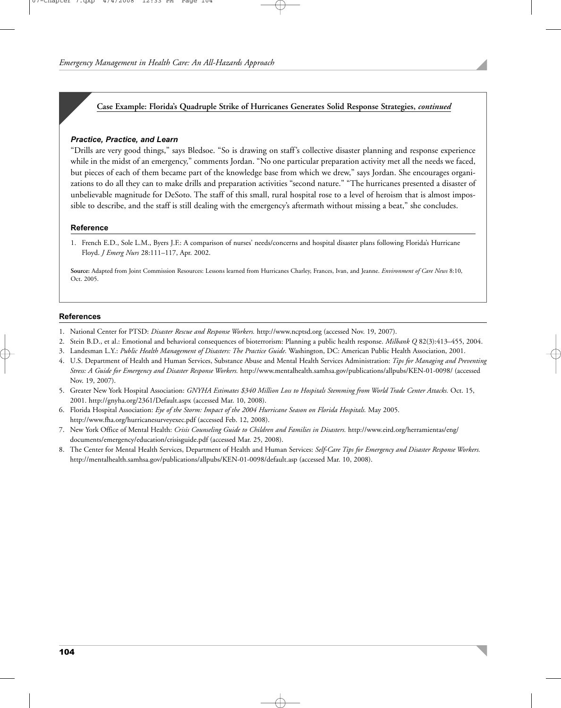## **Case Example: Florida's Quadruple Strike of Hurricanes Generates Solid Response Strategies,** *continued*

#### *Practice, Practice, and Learn*

"Drills are very good things," says Bledsoe. "So is drawing on staff's collective disaster planning and response experience while in the midst of an emergency," comments Jordan. "No one particular preparation activity met all the needs we faced, but pieces of each of them became part of the knowledge base from which we drew," says Jordan. She encourages organizations to do all they can to make drills and preparation activities "second nature." "The hurricanes presented a disaster of unbelievable magnitude for DeSoto. The staff of this small, rural hospital rose to a level of heroism that is almost impossible to describe, and the staff is still dealing with the emergency's aftermath without missing a beat," she concludes.

#### **Reference**

1. French E.D., Sole L.M., Byers J.F.: A comparison of nurses' needs/concerns and hospital disaster plans following Florida's Hurricane Floyd. *J Emerg Nurs* 28:111–117, Apr. 2002.

**Source:** Adapted from Joint Commission Resources: Lessons learned from Hurricanes Charley, Frances, Ivan, and Jeanne. *Environment of Care News* 8:10, Oct. 2005.

#### **References**

- 1. National Center for PTSD: *Disaster Rescue and Response Workers.* http://www.ncptsd.org (accessed Nov. 19, 2007).
- 2. Stein B.D., et al.: Emotional and behavioral consequences of bioterrorism: Planning a public health response. *Milbank Q* 82(3):413–455, 2004.
- 3. Landesman L.Y.: *Public Health Management of Disasters: The Practice Guide.* Washington, DC: American Public Health Association, 2001.
- 4. U.S. Department of Health and Human Services, Substance Abuse and Mental Health Services Administration: *Tips for Managing and Preventing Stress: A Guide for Emergency and Disaster Response Workers.* http://www.mentalhealth.samhsa.gov/publications/allpubs/KEN-01-0098/ (accessed Nov. 19, 2007).
- 5. Greater New York Hospital Association: *GNYHA Estimates \$340 Million Loss to Hospitals Stemming from World Trade Center Attacks.* Oct. 15, 2001. http://gnyha.org/2361/Default.aspx (accessed Mar. 10, 2008).
- 6. Florida Hospital Association: *Eye of the Storm: Impact of the 2004 Hurricane Season on Florida Hospitals.* May 2005. http://www.fha.org/hurricanesurveyexec.pdf (accessed Feb. 12, 2008).
- 7. New York Office of Mental Health: *Crisis Counseling Guide to Children and Families in Disasters.* http://www.eird.org/herramientas/eng/ documents/emergency/education/crisisguide.pdf (accessed Mar. 25, 2008).
- 8. The Center for Mental Health Services, Department of Health and Human Services: *Self-Care Tips for Emergency and Disaster Response Workers.* http://mentalhealth.samhsa.gov/publications/allpubs/KEN-01-0098/default.asp (accessed Mar. 10, 2008).